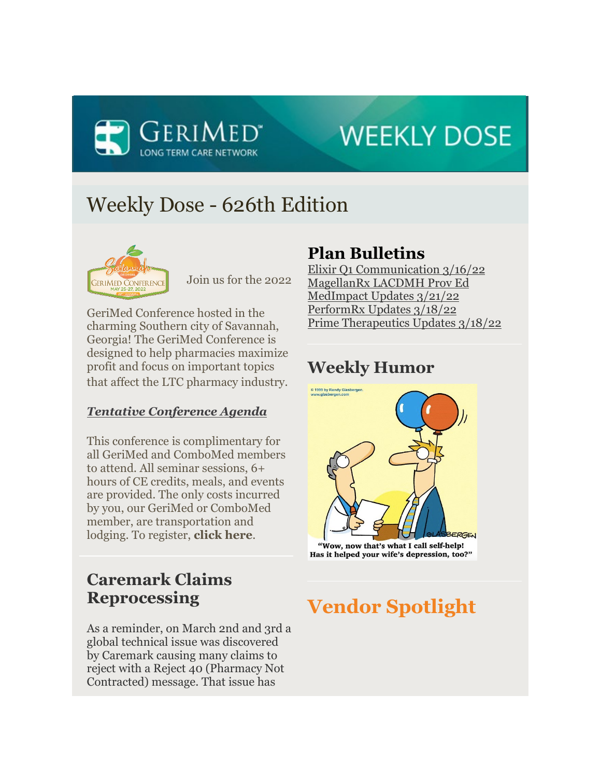

# **WEEKLY DOSE**

## Weekly Dose - 626th Edition



Join us for the 2022

GeriMed Conference hosted in the charming Southern city of Savannah, Georgia! The GeriMed Conference is designed to help pharmacies maximize profit and focus on important topics that affect the LTC pharmacy industry.

### *Tentative Conference Agenda*

This conference is complimentary for all GeriMed and ComboMed members to attend. All seminar sessions, 6+ hours of CE credits, meals, and events are provided. The only costs incurred by you, our GeriMed or ComboMed member, are transportation and lodging. To register, **click here**.

## **Caremark Claims Reprocessing**

As a reminder, on March 2nd and 3rd a global technical issue was discovered by Caremark causing many claims to reject with a Reject 40 (Pharmacy Not Contracted) message. That issue has

## **Plan Bulletins**

Elixir Q1 Communication 3/16/22 MagellanRx LACDMH Prov Ed MedImpact Updates 3/21/22 PerformRx Updates 3/18/22 Prime Therapeutics Updates 3/18/22

## **Weekly Humor**



"Wow, now that's what I call self-help! Has it helped your wife's depression, too?"

## **Vendor Spotlight**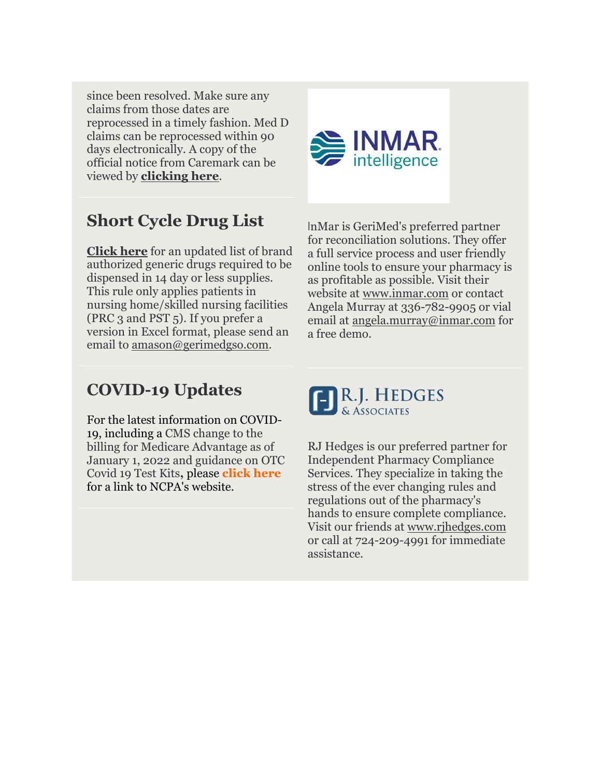since been resolved. Make sure any claims from those dates are reprocessed in a timely fashion. Med D claims can be reprocessed within 90 days electronically. A copy of the official notice from Caremark can be viewed by **clicking here**.



## **Short Cycle Drug List**

**Click here** for an updated list of brand authorized generic drugs required to be dispensed in 14 day or less supplies. This rule only applies patients in nursing home/skilled nursing facilities (PRC 3 and PST 5). If you prefer a version in Excel format, please send an email to <u>amason@gerimedgso.com</u>.

InMar is GeriMed's preferred partner for reconciliation solutions. They offer a full service process and user friendly online tools to ensure your pharmacy is as profitable as possible. Visit their website at www.inmar.com or contact Angela Murray at 336-782-9905 or vial email at angela.murray@inmar.com for a free demo.

## **COVID-19 Updates**

For the latest information on COVID-19, including a CMS change to the billing for Medicare Advantage as of January 1, 2022 and guidance on OTC Covid 19 Test Kits**,** please **click here** for a link to NCPA's website.



RJ Hedges is our preferred partner for Independent Pharmacy Compliance Services. They specialize in taking the stress of the ever changing rules and regulations out of the pharmacy's hands to ensure complete compliance. Visit our friends at www.rjhedges.com or call at 724-209-4991 for immediate assistance.